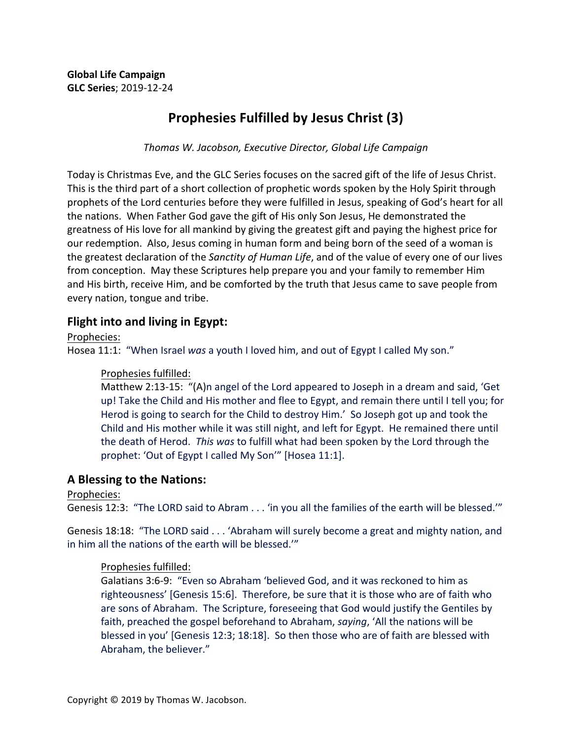# **Prophesies Fulfilled by Jesus Christ (3)**

*Thomas W. Jacobson, Executive Director, Global Life Campaign*

Today is Christmas Eve, and the GLC Series focuses on the sacred gift of the life of Jesus Christ. This is the third part of a short collection of prophetic words spoken by the Holy Spirit through prophets of the Lord centuries before they were fulfilled in Jesus, speaking of God's heart for all the nations. When Father God gave the gift of His only Son Jesus, He demonstrated the greatness of His love for all mankind by giving the greatest gift and paying the highest price for our redemption. Also, Jesus coming in human form and being born of the seed of a woman is the greatest declaration of the *Sanctity of Human Life*, and of the value of every one of our lives from conception. May these Scriptures help prepare you and your family to remember Him and His birth, receive Him, and be comforted by the truth that Jesus came to save people from every nation, tongue and tribe.

# **Flight into and living in Egypt:**

Prophecies: 

Hosea 11:1: "When Israel was a youth I loved him, and out of Egypt I called My son."

## Prophesies fulfilled:

Matthew 2:13-15:  $\mu(A)$ n angel of the Lord appeared to Joseph in a dream and said, 'Get up! Take the Child and His mother and flee to Egypt, and remain there until I tell you; for Herod is going to search for the Child to destroy Him.' So Joseph got up and took the Child and His mother while it was still night, and left for Egypt. He remained there until the death of Herod. This was to fulfill what had been spoken by the Lord through the prophet: 'Out of Egypt I called My Son'" [Hosea 11:1].

# A Blessing to the Nations:

Prophecies: 

Genesis 12:3: "The LORD said to Abram . . . 'in you all the families of the earth will be blessed.'"

Genesis 18:18: "The LORD said . . . 'Abraham will surely become a great and mighty nation, and in him all the nations of the earth will be blessed.""

## Prophesies fulfilled:

Galatians 3:6-9: "Even so Abraham 'believed God, and it was reckoned to him as righteousness' [Genesis 15:6]. Therefore, be sure that it is those who are of faith who are sons of Abraham. The Scripture, foreseeing that God would justify the Gentiles by faith, preached the gospel beforehand to Abraham, *saying*, 'All the nations will be blessed in you' [Genesis 12:3; 18:18]. So then those who are of faith are blessed with Abraham, the believer."